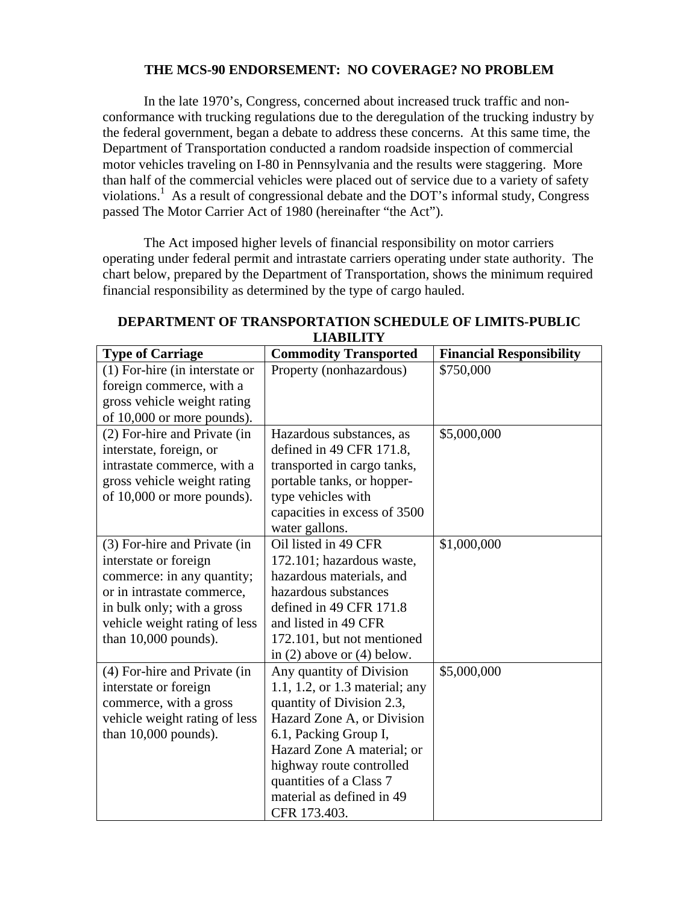# **THE MCS-90 ENDORSEMENT: NO COVERAGE? NO PROBLEM**

In the late 1970's, Congress, concerned about increased truck traffic and nonconformance with trucking regulations due to the deregulation of the trucking industry by the federal government, began a debate to address these concerns. At this same time, the Department of Transportation conducted a random roadside inspection of commercial motor vehicles traveling on I-80 in Pennsylvania and the results were staggering. More than half of the commercial vehicles were placed out of service due to a variety of safety violations.<sup>1</sup> As a result of congressional debate and the DOT's informal study, Congress passed The Motor Carrier Act of 1980 (hereinafter "the Act").

The Act imposed higher levels of financial responsibility on motor carriers operating under federal permit and intrastate carriers operating under state authority. The chart below, prepared by the Department of Transportation, shows the minimum required financial responsibility as determined by the type of cargo hauled.

| ентрити п                        |                                |                                 |  |
|----------------------------------|--------------------------------|---------------------------------|--|
| <b>Type of Carriage</b>          | <b>Commodity Transported</b>   | <b>Financial Responsibility</b> |  |
| $(1)$ For-hire (in interstate or | Property (nonhazardous)        | \$750,000                       |  |
| foreign commerce, with a         |                                |                                 |  |
| gross vehicle weight rating      |                                |                                 |  |
| of 10,000 or more pounds).       |                                |                                 |  |
| (2) For-hire and Private (in     | Hazardous substances, as       | \$5,000,000                     |  |
| interstate, foreign, or          | defined in $49$ CFR $171.8$ ,  |                                 |  |
| intrastate commerce, with a      | transported in cargo tanks,    |                                 |  |
| gross vehicle weight rating      | portable tanks, or hopper-     |                                 |  |
| of 10,000 or more pounds).       | type vehicles with             |                                 |  |
|                                  | capacities in excess of 3500   |                                 |  |
|                                  | water gallons.                 |                                 |  |
| (3) For-hire and Private (in     | Oil listed in 49 CFR           | \$1,000,000                     |  |
| interstate or foreign            | 172.101; hazardous waste,      |                                 |  |
| commerce: in any quantity;       | hazardous materials, and       |                                 |  |
| or in intrastate commerce,       | hazardous substances           |                                 |  |
| in bulk only; with a gross       | defined in 49 CFR 171.8        |                                 |  |
| vehicle weight rating of less    | and listed in 49 CFR           |                                 |  |
| than $10,000$ pounds).           | 172.101, but not mentioned     |                                 |  |
|                                  | in $(2)$ above or $(4)$ below. |                                 |  |
| (4) For-hire and Private (in     | Any quantity of Division       | \$5,000,000                     |  |
| interstate or foreign            | 1.1, 1.2, or 1.3 material; any |                                 |  |
| commerce, with a gross           | quantity of Division 2.3,      |                                 |  |
| vehicle weight rating of less    | Hazard Zone A, or Division     |                                 |  |
| than $10,000$ pounds).           | 6.1, Packing Group I,          |                                 |  |
|                                  | Hazard Zone A material; or     |                                 |  |
|                                  | highway route controlled       |                                 |  |
|                                  | quantities of a Class 7        |                                 |  |
|                                  | material as defined in 49      |                                 |  |
|                                  | CFR 173.403.                   |                                 |  |

# **DEPARTMENT OF TRANSPORTATION SCHEDULE OF LIMITS-PUBLIC LIABILITY**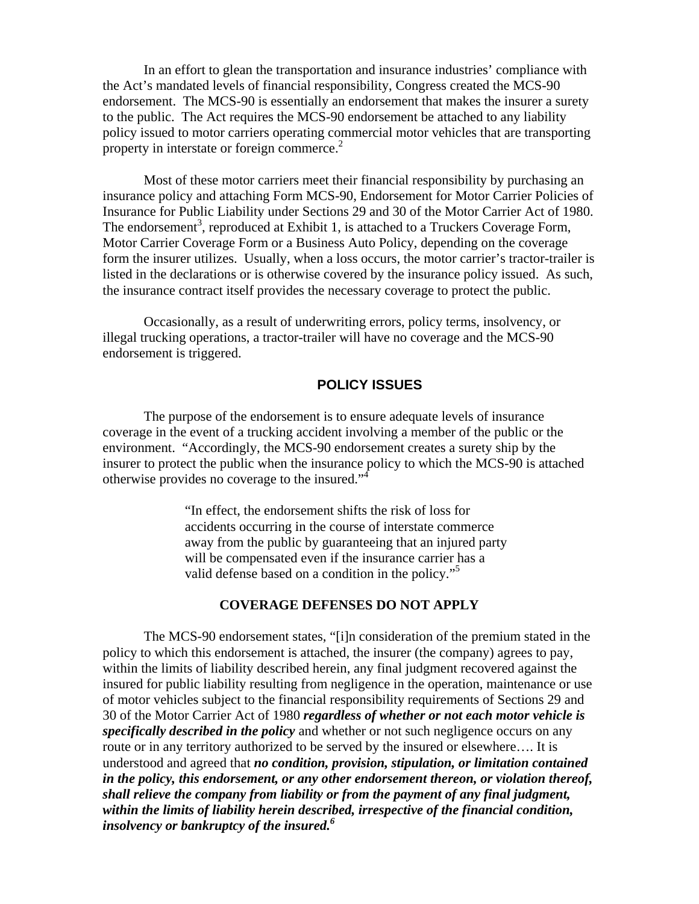In an effort to glean the transportation and insurance industries' compliance with the Act's mandated levels of financial responsibility, Congress created the MCS-90 endorsement. The MCS-90 is essentially an endorsement that makes the insurer a surety to the public. The Act requires the MCS-90 endorsement be attached to any liability policy issued to motor carriers operating commercial motor vehicles that are transporting property in interstate or foreign commerce.<sup>2</sup>

 Most of these motor carriers meet their financial responsibility by purchasing an insurance policy and attaching Form MCS-90, Endorsement for Motor Carrier Policies of Insurance for Public Liability under Sections 29 and 30 of the Motor Carrier Act of 1980. The endorsement<sup>3</sup>, reproduced at Exhibit 1, is attached to a Truckers Coverage Form, Motor Carrier Coverage Form or a Business Auto Policy, depending on the coverage form the insurer utilizes. Usually, when a loss occurs, the motor carrier's tractor-trailer is listed in the declarations or is otherwise covered by the insurance policy issued. As such, the insurance contract itself provides the necessary coverage to protect the public.

 Occasionally, as a result of underwriting errors, policy terms, insolvency, or illegal trucking operations, a tractor-trailer will have no coverage and the MCS-90 endorsement is triggered.

# **POLICY ISSUES**

The purpose of the endorsement is to ensure adequate levels of insurance coverage in the event of a trucking accident involving a member of the public or the environment. "Accordingly, the MCS-90 endorsement creates a surety ship by the insurer to protect the public when the insurance policy to which the MCS-90 is attached otherwise provides no coverage to the insured."4

> "In effect, the endorsement shifts the risk of loss for accidents occurring in the course of interstate commerce away from the public by guaranteeing that an injured party will be compensated even if the insurance carrier has a valid defense based on a condition in the policy."<sup>5</sup>

## **COVERAGE DEFENSES DO NOT APPLY**

The MCS-90 endorsement states, "[i]n consideration of the premium stated in the policy to which this endorsement is attached, the insurer (the company) agrees to pay, within the limits of liability described herein, any final judgment recovered against the insured for public liability resulting from negligence in the operation, maintenance or use of motor vehicles subject to the financial responsibility requirements of Sections 29 and 30 of the Motor Carrier Act of 1980 *regardless of whether or not each motor vehicle is specifically described in the policy* and whether or not such negligence occurs on any route or in any territory authorized to be served by the insured or elsewhere…. It is understood and agreed that *no condition, provision, stipulation, or limitation contained in the policy, this endorsement, or any other endorsement thereon, or violation thereof, shall relieve the company from liability or from the payment of any final judgment, within the limits of liability herein described, irrespective of the financial condition, insolvency or bankruptcy of the insured.6*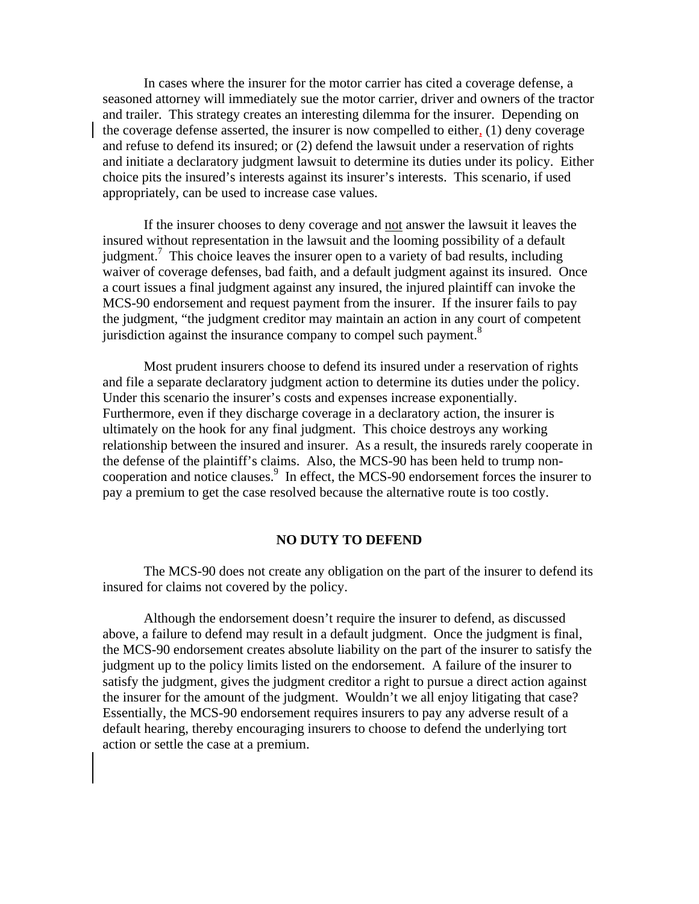In cases where the insurer for the motor carrier has cited a coverage defense, a seasoned attorney will immediately sue the motor carrier, driver and owners of the tractor and trailer. This strategy creates an interesting dilemma for the insurer. Depending on the coverage defense asserted, the insurer is now compelled to either, (1) deny coverage and refuse to defend its insured; or (2) defend the lawsuit under a reservation of rights and initiate a declaratory judgment lawsuit to determine its duties under its policy. Either choice pits the insured's interests against its insurer's interests. This scenario, if used appropriately, can be used to increase case values.

 If the insurer chooses to deny coverage and not answer the lawsuit it leaves the insured without representation in the lawsuit and the looming possibility of a default judgment.<sup>7</sup> This choice leaves the insurer open to a variety of bad results, including waiver of coverage defenses, bad faith, and a default judgment against its insured. Once a court issues a final judgment against any insured, the injured plaintiff can invoke the MCS-90 endorsement and request payment from the insurer. If the insurer fails to pay the judgment, "the judgment creditor may maintain an action in any court of competent jurisdiction against the insurance company to compel such payment.<sup>8</sup>

 Most prudent insurers choose to defend its insured under a reservation of rights and file a separate declaratory judgment action to determine its duties under the policy. Under this scenario the insurer's costs and expenses increase exponentially. Furthermore, even if they discharge coverage in a declaratory action, the insurer is ultimately on the hook for any final judgment. This choice destroys any working relationship between the insured and insurer. As a result, the insureds rarely cooperate in the defense of the plaintiff's claims. Also, the MCS-90 has been held to trump noncooperation and notice clauses.<sup>9</sup> In effect, the MCS-90 endorsement forces the insurer to pay a premium to get the case resolved because the alternative route is too costly.

#### **NO DUTY TO DEFEND**

The MCS-90 does not create any obligation on the part of the insurer to defend its insured for claims not covered by the policy.

 Although the endorsement doesn't require the insurer to defend, as discussed above, a failure to defend may result in a default judgment. Once the judgment is final, the MCS-90 endorsement creates absolute liability on the part of the insurer to satisfy the judgment up to the policy limits listed on the endorsement. A failure of the insurer to satisfy the judgment, gives the judgment creditor a right to pursue a direct action against the insurer for the amount of the judgment. Wouldn't we all enjoy litigating that case? Essentially, the MCS-90 endorsement requires insurers to pay any adverse result of a default hearing, thereby encouraging insurers to choose to defend the underlying tort action or settle the case at a premium.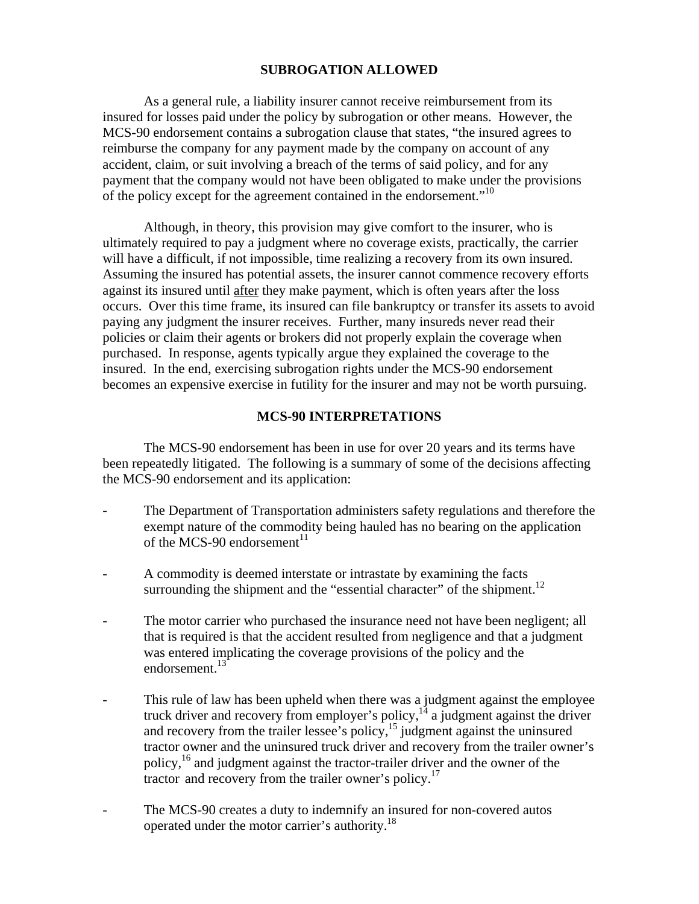## **SUBROGATION ALLOWED**

 As a general rule, a liability insurer cannot receive reimbursement from its insured for losses paid under the policy by subrogation or other means. However, the MCS-90 endorsement contains a subrogation clause that states, "the insured agrees to reimburse the company for any payment made by the company on account of any accident, claim, or suit involving a breach of the terms of said policy, and for any payment that the company would not have been obligated to make under the provisions of the policy except for the agreement contained in the endorsement.<sup>"10</sup>

 Although, in theory, this provision may give comfort to the insurer, who is ultimately required to pay a judgment where no coverage exists, practically, the carrier will have a difficult, if not impossible, time realizing a recovery from its own insured. Assuming the insured has potential assets, the insurer cannot commence recovery efforts against its insured until after they make payment, which is often years after the loss occurs. Over this time frame, its insured can file bankruptcy or transfer its assets to avoid paying any judgment the insurer receives. Further, many insureds never read their policies or claim their agents or brokers did not properly explain the coverage when purchased. In response, agents typically argue they explained the coverage to the insured. In the end, exercising subrogation rights under the MCS-90 endorsement becomes an expensive exercise in futility for the insurer and may not be worth pursuing.

## **MCS-90 INTERPRETATIONS**

 The MCS-90 endorsement has been in use for over 20 years and its terms have been repeatedly litigated. The following is a summary of some of the decisions affecting the MCS-90 endorsement and its application:

- The Department of Transportation administers safety regulations and therefore the exempt nature of the commodity being hauled has no bearing on the application of the MCS-90 endorsement $11$
- A commodity is deemed interstate or intrastate by examining the facts surrounding the shipment and the "essential character" of the shipment.<sup>12</sup>
- The motor carrier who purchased the insurance need not have been negligent; all that is required is that the accident resulted from negligence and that a judgment was entered implicating the coverage provisions of the policy and the endorsement.<sup>13</sup>
- This rule of law has been upheld when there was a judgment against the employee truck driver and recovery from employer's policy, $14$  a judgment against the driver and recovery from the trailer lessee's policy,  $^{15}$  judgment against the uninsured tractor owner and the uninsured truck driver and recovery from the trailer owner's policy,16 and judgment against the tractor-trailer driver and the owner of the tractor and recovery from the trailer owner's policy.<sup>17</sup>
- The MCS-90 creates a duty to indemnify an insured for non-covered autos operated under the motor carrier's authority.18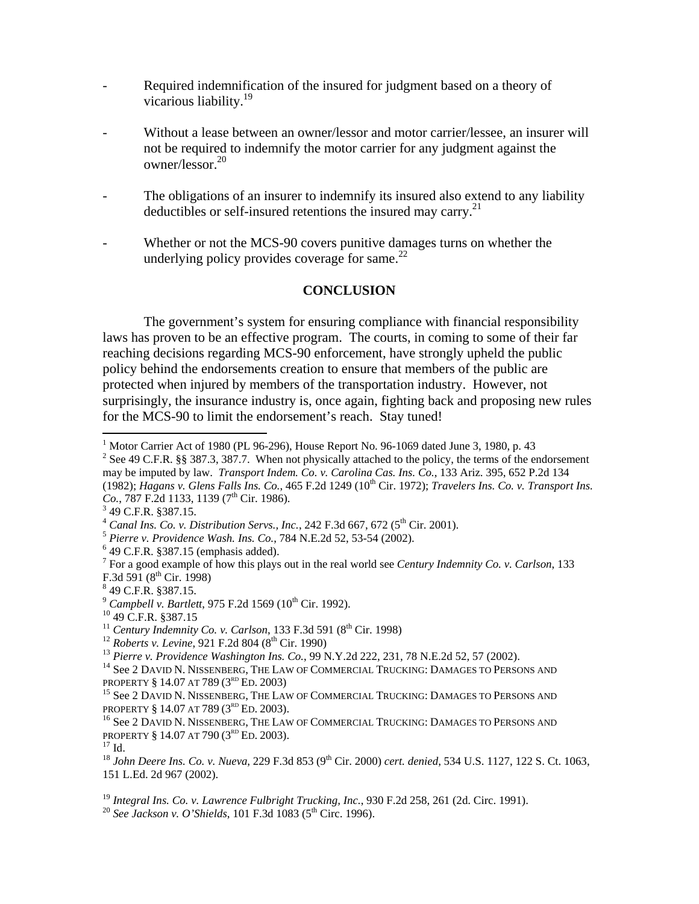- Required indemnification of the insured for judgment based on a theory of vicarious liability.<sup>19</sup>
- Without a lease between an owner/lessor and motor carrier/lessee, an insurer will not be required to indemnify the motor carrier for any judgment against the owner/lessor.20
- The obligations of an insurer to indemnify its insured also extend to any liability deductibles or self-insured retentions the insured may carry.<sup>21</sup>
- Whether or not the MCS-90 covers punitive damages turns on whether the underlying policy provides coverage for same. $^{22}$

# **CONCLUSION**

The government's system for ensuring compliance with financial responsibility laws has proven to be an effective program. The courts, in coming to some of their far reaching decisions regarding MCS-90 enforcement, have strongly upheld the public policy behind the endorsements creation to ensure that members of the public are protected when injured by members of the transportation industry. However, not surprisingly, the insurance industry is, once again, fighting back and proposing new rules for the MCS-90 to limit the endorsement's reach. Stay tuned!

<sup>2</sup> See 49 C.F.R. §§ 387.3, 387.7. When not physically attached to the policy, the terms of the endorsement may be imputed by law. *Transport Indem. Co. v. Carolina Cas. Ins. Co.*, 133 Ariz. 395, 652 P.2d 134 (1982); *Hagans v. Glens Falls Ins. Co.*, 465 F.2d 1249 (10th Cir. 1972); *Travelers Ins. Co. v. Transport Ins.*   $Co., 787$  F.2d 1133, 1139 (7<sup>th</sup> Cir. 1986).

 $\overline{a}$ 

- 7 For a good example of how this plays out in the real world see *Century Indemnity Co. v. Carlson*, 133 F.3d  $591 (8^{\text{th}}$  Cir. 1998)
- 49 C.F.R. §387.15.

<sup>&</sup>lt;sup>1</sup> Motor Carrier Act of 1980 (PL 96-296), House Report No. 96-1069 dated June 3, 1980, p. 43

 $349$  C.F.R. §387.15.

<sup>&</sup>lt;sup>4</sup> *Canal Ins. Co. v. Distribution Servs., Inc., 242 F.3d 667, 672 (5<sup>th</sup> Cir. 2001).*  $^5$  *Pierre v. Providence Wash. Ins. Co., 784 N.E.2d 52, 53-54 (2002).* 

 $649$  C.F.R. §387.15 (emphasis added).

<sup>&</sup>lt;sup>9</sup> *Campbell v. Bartlett*, 975 F.2d 1569 (10<sup>th</sup> Cir. 1992).<br><sup>10</sup> 49 C.F.R. §387.15<br><sup>11</sup> *Century Indemnity Co. v. Carlson*, 133 F.3d 591 (8<sup>th</sup> Cir. 1998)

<sup>&</sup>lt;sup>12</sup> Roberts v. Levine, 921 F.2d 804 (8<sup>th</sup> Cir. 1990)<br><sup>13</sup> Pierre v. Providence Washington Ins. Co., 99 N.Y.2d 222, 231, 78 N.E.2d 52, 57 (2002).<br><sup>14</sup> See 2 DAVID N. NISSENBERG, THE LAW OF COMMERCIAL TRUCKING: DAMAGES TO

<sup>&</sup>lt;sup>15</sup> See 2 DAVID N. NISSENBERG, THE LAW OF COMMERCIAL TRUCKING: DAMAGES TO PERSONS AND PROPERTY § 14.07 AT 789 (3<sup>RD</sup> ED. 2003).

<sup>&</sup>lt;sup>16</sup> See 2 DAVID N. NISSENBERG, THE LAW OF COMMERCIAL TRUCKING: DAMAGES TO PERSONS AND PROPERTY § 14.07 AT 790 (3<sup>RD</sup> ED. 2003).<sup>17</sup> Id.

<sup>&</sup>lt;sup>18</sup> *John Deere Ins. Co. v. Nueva*, 229 F.3d 853 (9<sup>th</sup> Cir. 2000) *cert. denied*, 534 U.S. 1127, 122 S. Ct. 1063, 151 L.Ed. 2d 967 (2002).

<sup>&</sup>lt;sup>19</sup> *Integral Ins. Co. v. Lawrence Fulbright Trucking, Inc.*, 930 F.2d 258, 261 (2d. Circ. 1991).<br><sup>20</sup> *See Jackson v. O'Shields*, 101 F.3d 1083 (5<sup>th</sup> Circ. 1996).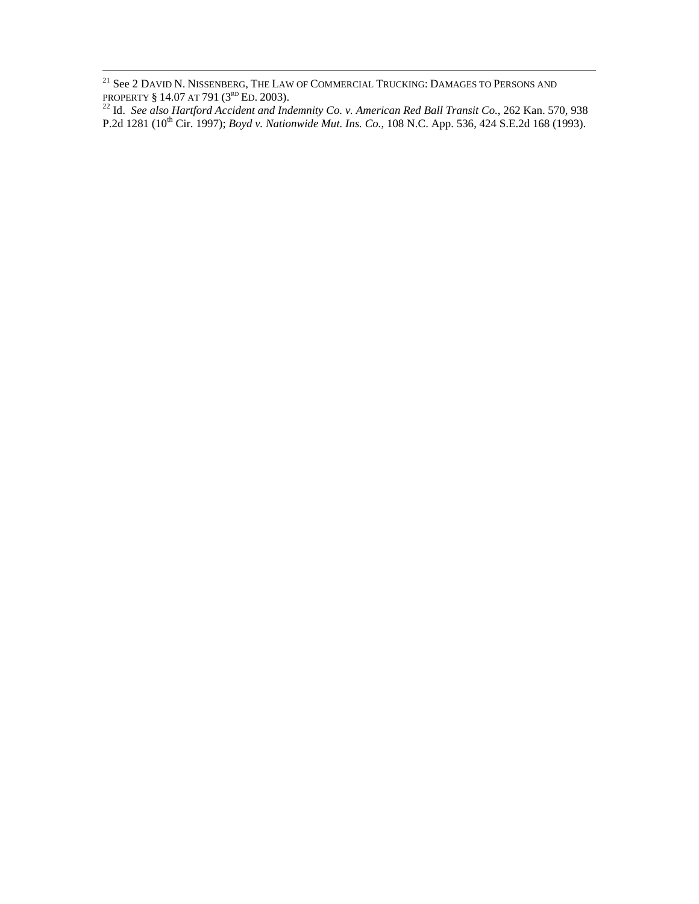<sup>21</sup> See 2 David N. Nissenberg, The Law of Commercial Trucking: Damages to Persons and

PROPERTY § 14.07 AT 791 (3<sup>rd</sup> Ed. 2003).<br><sup>22</sup> Id. *See also Hartford Accident and Indemnity Co. v. American Red Ball Transit Co., 262 Kan. 570, 938* P.2d 1281 (10<sup>th</sup> Cir. 1997); *Boyd v. Nationwide Mut. Ins. Co.*, 108 N.C. App. 536, 424 S.E.2d 168 (1993).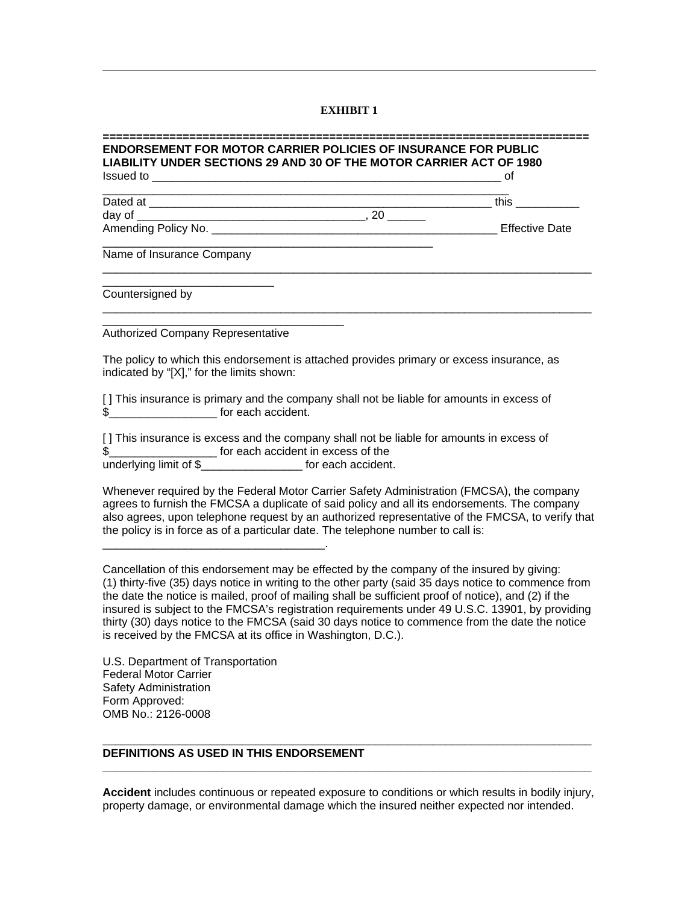#### **EXHIBIT 1**

| <b>ENDORSEMENT FOR MOTOR CARRIER POLICIES OF INSURANCE FOR PUBLIC</b><br>LIABILITY UNDER SECTIONS 29 AND 30 OF THE MOTOR CARRIER ACT OF 1980 | οt |
|----------------------------------------------------------------------------------------------------------------------------------------------|----|
|                                                                                                                                              |    |
|                                                                                                                                              |    |
|                                                                                                                                              |    |
| Name of Insurance Company                                                                                                                    |    |
| Countersigned by                                                                                                                             |    |
| <b>Authorized Company Representative</b>                                                                                                     |    |
| The policy to which this endorsement is attached provides primary or excess insurance, as<br>indicated by "[X]," for the limits shown:       |    |
| [] This insurance is primary and the company shall not be liable for amounts in excess of<br>\$                                              |    |
| [] This insurance is excess and the company shall not be liable for amounts in excess of                                                     |    |

\$\_\_\_\_\_\_\_\_\_\_\_\_\_\_\_\_\_ for each accident in excess of the for each accident.

Whenever required by the Federal Motor Carrier Safety Administration (FMCSA), the company agrees to furnish the FMCSA a duplicate of said policy and all its endorsements. The company also agrees, upon telephone request by an authorized representative of the FMCSA, to verify that the policy is in force as of a particular date. The telephone number to call is:

Cancellation of this endorsement may be effected by the company of the insured by giving: (1) thirty-five (35) days notice in writing to the other party (said 35 days notice to commence from the date the notice is mailed, proof of mailing shall be sufficient proof of notice), and (2) if the insured is subject to the FMCSA's registration requirements under 49 U.S.C. 13901, by providing thirty (30) days notice to the FMCSA (said 30 days notice to commence from the date the notice is received by the FMCSA at its office in Washington, D.C.).

U.S. Department of Transportation Federal Motor Carrier Safety Administration Form Approved: OMB No.: 2126-0008

\_\_\_\_\_\_\_\_\_\_\_\_\_\_\_\_\_\_\_\_\_\_\_\_\_\_\_\_\_\_\_\_\_\_\_.

 $\overline{a}$ 

## **DEFINITIONS AS USED IN THIS ENDORSEMENT**

**Accident** includes continuous or repeated exposure to conditions or which results in bodily injury, property damage, or environmental damage which the insured neither expected nor intended.

**\_\_\_\_\_\_\_\_\_\_\_\_\_\_\_\_\_\_\_\_\_\_\_\_\_\_\_\_\_\_\_\_\_\_\_\_\_\_\_\_\_\_\_\_\_\_\_\_\_\_\_\_\_\_\_\_\_\_\_\_\_\_\_\_\_\_\_\_\_\_\_\_\_\_\_\_\_** 

**\_\_\_\_\_\_\_\_\_\_\_\_\_\_\_\_\_\_\_\_\_\_\_\_\_\_\_\_\_\_\_\_\_\_\_\_\_\_\_\_\_\_\_\_\_\_\_\_\_\_\_\_\_\_\_\_\_\_\_\_\_\_\_\_\_\_\_\_\_\_\_\_\_\_\_\_\_**